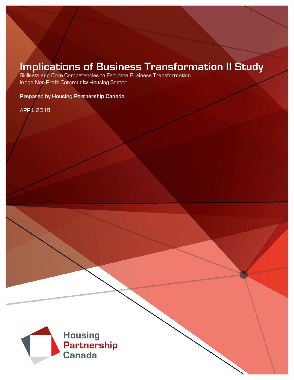# **Implications of Business Transformation II Study**<br>Skillsets and Core Competencies to Facilitate Business Transformation<br>in the Non-Profit Community Housing Sector

Prepared by Housing Partnership Canada

**APRIL 2018** 

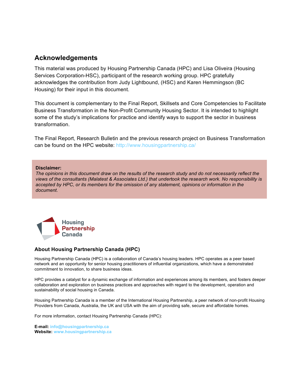#### **Acknowledgements**

This material was produced by Housing Partnership Canada (HPC) and Lisa Oliveira (Housing Services Corporation-HSC), participant of the research working group. HPC gratefully acknowledges the contribution from Judy Lightbound, (HSC) and Karen Hemmingson (BC Housing) for their input in this document.

This document is complementary to the Final Report, Skillsets and Core Competencies to Facilitate Business Transformation in the Non-Profit Community Housing Sector. It is intended to highlight some of the study's implications for practice and identify ways to support the sector in business transformation.

The Final Report, Research Bulletin and the previous research project on Business Transformation can be found on the HPC website:<http://www.housingpartnership.ca/>

#### **Disclaimer:**

*The opinions in this document draw on the results of the research study and do not necessarily reflect the views of the consultants (Malatest & Associates Ltd.) that undertook the research work. No responsibility is accepted by HPC, or its members for the omission of any statement, opinions or information in the document.*



#### **About Housing Partnership Canada (HPC)**

Housing Partnership Canada (HPC) is a collaboration of Canada's housing leaders. HPC operates as a peer based network and an opportunity for senior housing practitioners of influential organizations, which have a demonstrated commitment to innovation, to share business ideas.

HPC provides a catalyst for a dynamic exchange of information and experiences among its members, and fosters deeper collaboration and exploration on business practices and approaches with regard to the development, operation and sustainability of social housing in Canada.

Housing Partnership Canada is a member of the International Housing Partnership, a peer network of non-profit Housing Providers from Canada, Australia, the UK and USA with the aim of providing safe, secure and affordable homes.

For more information, contact Housing Partnership Canada (HPC):

**E-mail: [info@housingpartnership.ca](mailto:info@housingpartnership.ca) Website: [www.housingpartnership.ca](http://www.housingpartnership.ca)**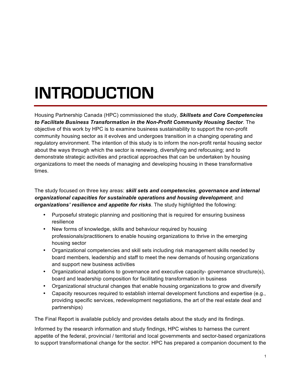## **INTRODUCTION**

Housing Partnership Canada (HPC) commissioned the study, *Skillsets and Core Competencies to Facilitate Business Transformation in the Non-Profit Community Housing Sector*. The objective of this work by HPC is to examine business sustainability to support the non-profit community housing sector as it evolves and undergoes transition in a changing operating and regulatory environment. The intention of this study is to inform the non-profit rental housing sector about the ways through which the sector is renewing, diversifying and refocusing; and to demonstrate strategic activities and practical approaches that can be undertaken by housing organizations to meet the needs of managing and developing housing in these transformative times.

The study focused on three key areas: *skill sets and competencies*, *governance and internal organizational capacities for sustainable operations and housing development*; and *organizations' resilience and appetite for risks*. The study highlighted the following:

- Purposeful strategic planning and positioning that is required for ensuring business resilience
- New forms of knowledge, skills and behaviour required by housing professionals/practitioners to enable housing organizations to thrive in the emerging housing sector
- Organizational competencies and skill sets including risk management skills needed by board members, leadership and staff to meet the new demands of housing organizations and support new business activities
- Organizational adaptations to governance and executive capacity- governance structure(s), board and leadership composition for facilitating transformation in business
- Organizational structural changes that enable housing organizations to grow and diversify
- Capacity resources required to establish internal development functions and expertise (e.g., providing specific services, redevelopment negotiations, the art of the real estate deal and partnerships)

The Final Report is available publicly and provides details about the study and its findings.

Informed by the research information and study findings, HPC wishes to harness the current appetite of the federal, provincial / territorial and local governments and sector-based organizations to support transformational change for the sector. HPC has prepared a companion document to the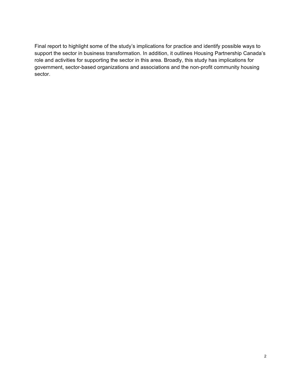Final report to highlight some of the study's implications for practice and identify possible ways to support the sector in business transformation. In addition, it outlines Housing Partnership Canada's role and activities for supporting the sector in this area. Broadly, this study has implications for government, sector-based organizations and associations and the non-profit community housing sector.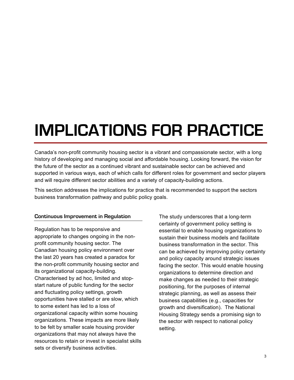### **IMPLICATIONS FOR PRACTICE**

Canada's non-profit community housing sector is a vibrant and compassionate sector, with a long history of developing and managing social and affordable housing. Looking forward, the vision for the future of the sector as a continued vibrant and sustainable sector can be achieved and supported in various ways, each of which calls for different roles for government and sector players and will require different sector abilities and a variety of capacity-building actions.

This section addresses the implications for practice that is recommended to support the sectors business transformation pathway and public policy goals.

#### **Continuous Improvement in Regulation**

Regulation has to be responsive and appropriate to changes ongoing in the nonprofit community housing sector. The Canadian housing policy environment over the last 20 years has created a paradox for the non-profit community housing sector and its organizational capacity-building. Characterised by ad hoc, limited and stopstart nature of public funding for the sector and fluctuating policy settings, growth opportunities have stalled or are slow, which to some extent has led to a loss of organizational capacity within some housing organizations. These impacts are more likely to be felt by smaller scale housing provider organizations that may not always have the resources to retain or invest in specialist skills sets or diversify business activities.

The study underscores that a long-term certainty of government policy setting is essential to enable housing organizations to sustain their business models and facilitate business transformation in the sector. This can be achieved by improving policy certainty and policy capacity around strategic issues facing the sector. This would enable housing organizations to determine direction and make changes as needed to their strategic positioning, for the purposes of internal strategic planning, as well as assess their business capabilities (e.g., capacities for growth and diversification). The National Housing Strategy sends a promising sign to the sector with respect to national policy setting.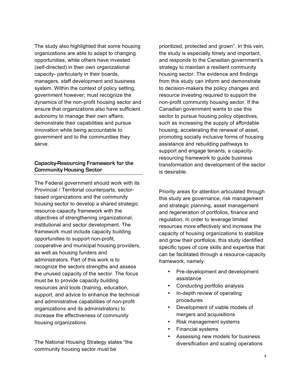The study also highlighted that some housing organizations are able to adapt to changing opportunities, while others have invested (self-directed) in their own organizational capacity- particularly in their boards, managers, staff development and business system. Within the context of policy setting, government however; must recognize the dynamics of the non-profit housing sector and ensure that organizations also have sufficient autonomy to manage their own affairs, demonstrate their capabilities and pursue innovation while being accountable to government and to the communities they serve.

#### **Capacity-Resourcing Framework for the Community Housing Sector**

The Federal government should work with its Provincial / Territorial counterparts, sectorbased organizations and the community housing sector to develop a shared strategic resource-capacity framework with the objectives of strengthening organizational, institutional and sector development. The framework must include capacity building opportunities to support non-profit, cooperative and municipal housing providers, as well as housing funders and administrators. Part of this work is to recognize the sectors strengths and assess the unused capacity of the sector. The focus must be to provide capacity building resources and tools (training, education, support, and advice to enhance the technical and administrative capabilities of non-profit organizations and its administrators) to increase the effectiveness of community housing organizations.

The National Housing Strategy states "the community housing sector must be

prioritized, protected and grown". In this vein, the study is especially timely and important, and responds to the Canadian government's strategy to maintain a resilient community housing sector. The evidence and findings from this study can inform and demonstrate to decision-makers the policy changes and resource investing required to support the non-profit community housing sector. If the Canadian government wants to use this sector to pursue housing policy objectives, such as increasing the supply of affordable housing, accelerating the renewal of asset, promoting socially inclusive forms of housing assistance and rebuilding pathways to support and engage tenants; a capacityresourcing framework to guide business transformation and development of the sector is desirable.

Priority areas for attention articulated through this study are governance, risk management and strategic planning, asset management and regeneration of portfolios, finance and regulation. In order to leverage limited resources more effectively and increase the capacity of housing organizations to stabilize and grow their portfolios, this study identified specific types of core skills and expertise that can be facilitated through a resource-capacity framework, namely:

- Pre-development and development assistance
- Conducting portfolio analysis
- In-depth review of operating procedures
- Development of viable models of mergers and acquisitions
- Risk management systems
- Financial systems
- Assessing new models for business diversification and scaling operations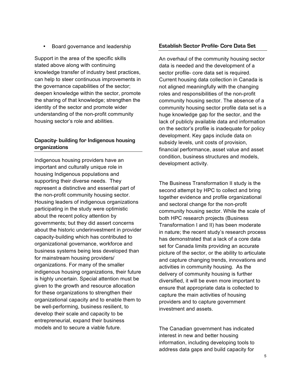• Board governance and leadership

Support in the area of the specific skills stated above along with continuing knowledge transfer of industry best practices, can help to steer continuous improvements in the governance capabilities of the sector; deepen knowledge within the sector, promote the sharing of that knowledge; strengthen the identity of the sector and promote wider understanding of the non-profit community housing sector's role and abilities.

#### **Capacity- building for Indigenous housing organizations**

Indigenous housing providers have an important and culturally unique role in housing Indigenous populations and supporting their diverse needs. They represent a distinctive and essential part of the non-profit community housing sector. Housing leaders of indigenous organizations participating in the study were optimistic about the recent policy attention by governments; but they did assert concerns about the historic underinvestment in provider capacity-building which has contributed to organizational governance, workforce and business systems being less developed than for mainstream housing providers/ organizations. For many of the smaller indigenous housing organizations, their future is highly uncertain. Special attention must be given to the growth and resource allocation for these organizations to strengthen their organizational capacity and to enable them to be well-performing, business resilient, to develop their scale and capacity to be entrepreneurial, expand their business models and to secure a viable future.

#### **Establish Sector Profile- Core Data Set**

An overhaul of the community housing sector data is needed and the development of a sector profile- core data set is required. Current housing data collection in Canada is not aligned meaningfully with the changing roles and responsibilities of the non-profit community housing sector. The absence of a community housing sector profile data set is a huge knowledge gap for the sector, and the lack of publicly available data and information on the sector's profile is inadequate for policy development. Key gaps include data on subsidy levels, unit costs of provision, financial performance, asset value and asset condition, business structures and models, development activity.

The Business Transformation II study is the second attempt by HPC to collect and bring together evidence and profile organizational and sectoral change for the non-profit community housing sector. While the scale of both HPC research projects (Business Transformation I and II) has been moderate in nature; the recent study's research process has demonstrated that a lack of a core data set for Canada limits providing an accurate picture of the sector, or the ability to articulate and capture changing trends, innovations and activities in community housing. As the delivery of community housing is further diversified, it will be even more important to ensure that appropriate data is collected to capture the main activities of housing providers and to capture government investment and assets.

The Canadian government has indicated interest in new and better housing information, including developing tools to address data gaps and build capacity for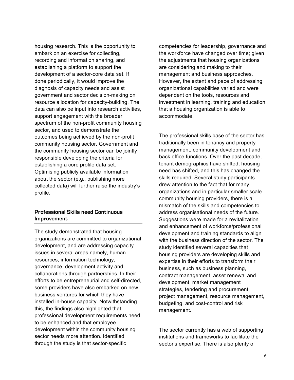housing research. This is the opportunity to embark on an exercise for collecting, recording and information sharing, and establishing a platform to support the development of a sector-core data set. If done periodically, it would improve the diagnosis of capacity needs and assist government and sector decision-making on resource allocation for capacity-building. The data can also be input into research activities, support engagement with the broader spectrum of the non-profit community housing sector, and used to demonstrate the outcomes being achieved by the non-profit community housing sector. Government and the community housing sector can be jointly responsible developing the criteria for establishing a core profile data set. Optimising publicly available information about the sector (e.g., publishing more collected data) will further raise the industry's profile.

#### **Professional Skills need Continuous Improvement**

The study demonstrated that housing organizations are committed to organizational development, and are addressing capacity issues in several areas namely, human resources, information technology, governance, development activity and collaborations through partnerships. In their efforts to be entrepreneurial and self-directed, some providers have also embarked on new business ventures for which they have installed in-house capacity. Notwithstanding this, the findings also highlighted that professional development requirements need to be enhanced and that employee development within the community housing sector needs more attention. Identified through the study is that sector-specific

competencies for leadership, governance and the workforce have changed over time; given the adjustments that housing organizations are considering and making to their management and business approaches. However, the extent and pace of addressing organizational capabilities varied and were dependent on the tools, resources and investment in learning, training and education that a housing organization is able to accommodate.

The professional skills base of the sector has traditionally been in tenancy and property management, community development and back office functions. Over the past decade, tenant demographics have shifted, housing need has shifted, and this has changed the skills required. Several study participants drew attention to the fact that for many organizations and in particular smaller scale community housing providers, there is a mismatch of the skills and competencies to address organisational needs of the future. Suggestions were made for a revitalization and enhancement of workforce/professional development and training standards to align with the business direction of the sector. The study identified several capacities that housing providers are developing skills and expertise in their efforts to transform their business, such as business planning, contract management, asset renewal and development, market management strategies, tendering and procurement, project management, resource management, budgeting, and cost-control and risk management.

The sector currently has a web of supporting institutions and frameworks to facilitate the sector's expertise. There is also plenty of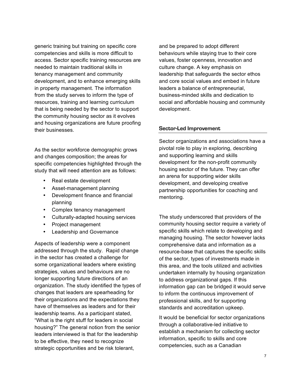generic training but training on specific core competencies and skills is more difficult to access. Sector specific training resources are needed to maintain traditional skills in tenancy management and community development, and to enhance emerging skills in property management. The information from the study serves to inform the type of resources, training and learning curriculum that is being needed by the sector to support the community housing sector as it evolves and housing organizations are future proofing their businesses.

As the sector workforce demographic grows and changes composition; the areas for specific competencies highlighted through the study that will need attention are as follows:

- Real estate development
- Asset-management planning
- Development finance and financial planning
- Complex tenancy management
- Culturally-adapted housing services
- Project management
- Leadership and Governance

Aspects of leadership were a component addressed through the study. Rapid change in the sector has created a challenge for some organizational leaders where existing strategies, values and behaviours are no longer supporting future directions of an organization. The study identified the types of changes that leaders are spearheading for their organizations and the expectations they have of themselves as leaders and for their leadership teams. As a participant stated, "What is the right stuff for leaders in social housing?" The general notion from the senior leaders interviewed is that for the leadership to be effective, they need to recognize strategic opportunities and be risk tolerant,

and be prepared to adopt different behaviours while staying true to their core values, foster openness, innovation and culture change. A key emphasis on leadership that safeguards the sector ethos and core social values and embed in future leaders a balance of entrepreneurial, business-minded skills and dedication to social and affordable housing and community development.

#### **Sector-Led Improvement**

Sector organizations and associations have a pivotal role to play in exploring, describing and supporting learning and skills development for the non-profit community housing sector of the future. They can offer an arena for supporting wider skills development, and developing creative partnership opportunities for coaching and mentoring.

The study underscored that providers of the community housing sector require a variety of specific skills which relate to developing and managing housing. The sector however lacks comprehensive data and information as a resource-base that captures the specific skills of the sector, types of investments made in this area, and the tools utilized and activities undertaken internally by housing organization to address organizational gaps. If this information gap can be bridged it would serve to inform the continuous improvement of professional skills, and for supporting standards and accreditation upkeep.

It would be beneficial for sector organizations through a collaborative-led initiative to establish a mechanism for collecting sector information, specific to skills and core competencies, such as a Canadian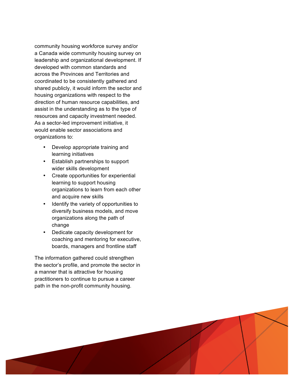community housing workforce survey and/or a Canada wide community housing survey on leadership and organizational development. If developed with common standards and across the Provinces and Territories and coordinated to be consistently gathered and shared publicly, it would inform the sector and housing organizations with respect to the direction of human resource capabilities, and assist in the understanding as to the type of resources and capacity investment needed. As a sector -led improvement initiative, it would enable sector associations and organizations to:

- Develop appropriate training and learning initiatives
- Establish partnerships to support wider skills development
- Create opportunities for experiential learning to support housing organizations to learn from each other and acquire new skills
- Identify the variety of opportunities to diversify business models, and move organizations along the path of change
- Dedicate capacity development for coaching and mentoring for executive, boards, managers and frontline staff

The information gathered could strengthen the sector 's profile, and promote the sector in a manner that is attractive for housing practitioners to continue to pursue a career path in the non -profit community housing.

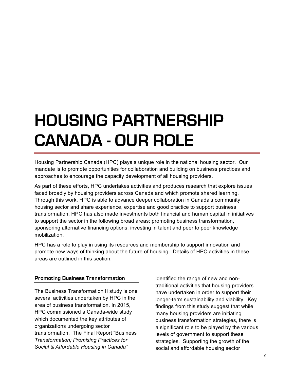### **HOUSING PARTNERSHIP CANADA - OUR ROLE**

Housing Partnership Canada (HPC) plays a unique role in the national housing sector. Our mandate is to promote opportunities for collaboration and building on business practices and approaches to encourage the capacity development of all housing providers.

As part of these efforts, HPC undertakes activities and produces research that explore issues faced broadly by housing providers across Canada and which promote shared learning. Through this work, HPC is able to advance deeper collaboration in Canada's community housing sector and share experience, expertise and good practice to support business transformation. HPC has also made investments both financial and human capital in initiatives to support the sector in the following broad areas: promoting business transformation, sponsoring alternative financing options, investing in talent and peer to peer knowledge mobilization.

HPC has a role to play in using its resources and membership to support innovation and promote new ways of thinking about the future of housing. Details of HPC activities in these areas are outlined in this section.

#### **Promoting Business Transformation**

The Business Transformation II study is one several activities undertaken by HPC in the area of business transformation. In 2015, HPC commissioned a Canada-wide study which documented the key attributes of organizations undergoing sector transformation. The Final Report "Business *Transformation; Promising Practices for Social & Affordable Housing in Canada"* 

identified the range of new and nontraditional activities that housing providers have undertaken in order to support their longer-term sustainability and viability. Key findings from this study suggest that while many housing providers are initiating business transformation strategies, there is a significant role to be played by the various levels of government to support these strategies. Supporting the growth of the social and affordable housing sector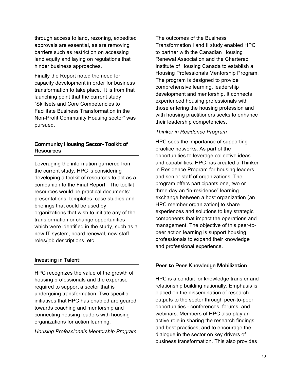through access to land, rezoning, expedited approvals are essential, as are removing barriers such as restriction on accessing land equity and laying on regulations that hinder business approaches.

Finally the Report noted the need for capacity development in order for business transformation to take place. It is from that launching point that the current study "Skillsets and Core Competencies to Facilitate Business Transformation in the Non-Profit Community Housing sector" was pursued.

#### **Community Housing Sector- Toolkit of Resources**

Leveraging the information garnered from the current study, HPC is considering developing a toolkit of resources to act as a companion to the Final Report. The toolkit resources would be practical documents: presentations, templates, case studies and briefings that could be used by organizations that wish to initiate any of the transformation or change opportunities which were identified in the study, such as a new IT system, board renewal, new staff roles/job descriptions, etc.

#### **Investing in Talent**

HPC recognizes the value of the growth of housing professionals and the expertise required to support a sector that is undergoing transformation. Two specific initiatives that HPC has enabled are geared towards coaching and mentorship and connecting housing leaders with housing organizations for action learning.

*Housing Professionals Mentorship Program*

The outcomes of the Business Transformation I and II study enabled HPC to partner with the Canadian Housing Renewal Association and the Chartered Institute of Housing Canada to establish a Housing Professionals Mentorship Program. The program is designed to provide comprehensive learning, leadership development and mentorship. It connects experienced housing professionals with those entering the housing profession and with housing practitioners seeks to enhance their leadership competencies.

#### *Thinker in Residence Program*

HPC sees the importance of supporting practice networks. As part of the opportunities to leverage collective ideas and capabilities, HPC has created a Thinker in Residence Program for housing leaders and senior staff of organizations. The program offers participants one, two or three day an "in-residence" learning exchange between a host organization (an HPC member organization] to share experiences and solutions to key strategic components that impact the operations and management. The objective of this peer-topeer action learning is support housing professionals to expand their knowledge and professional experience.

#### **Peer to Peer Knowledge Mobilization**

HPC is a conduit for knowledge transfer and relationship building nationally. Emphasis is placed on the dissemination of research outputs to the sector through peer-to-peer opportunities - conferences, forums, and webinars. Members of HPC also play an active role in sharing the research findings and best practices, and to encourage the dialogue in the sector on key drivers of business transformation. This also provides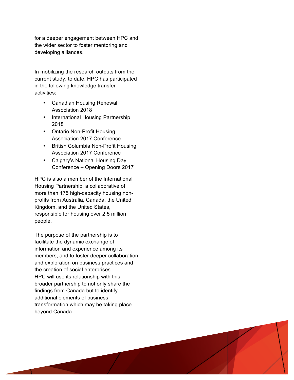for a deeper engagement between HPC and the wider sector to foster mentoring and developing alliances.

In mobilizing the research outputs from the current study, to date, HPC has participated in the following knowledge transfer activities:

- Canadian Housing Renewal Association 2018
- International Housing Partnership 2018
- Ontario Non-Profit Housing Association 2017 Conference
- British Columbia Non-Profit Housing Association 2017 Conference
- Calgary's National Housing Day Conference – Opening Doors 2017

HPC is also a member of the International Housing Partnership , a collaborative of more than 175 high -capacity housing non profits from Australia, Canada, the United Kingdom, and the United States, responsible for housing over 2.5 million people.

The purpose of the partnership is to facilitate the dynamic exchange of information and experience among its members, and to foster deeper collaboration and exploration on business practices and the creation of social enterprises. HPC will use its relationship with this broader partnership to not only share the findings from Canada but to identify additional elements of business transformation which may be taking place beyond Canada.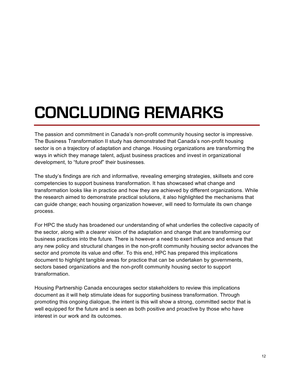### **CONCLUDING REMARKS**

The passion and commitment in Canada's non-profit community housing sector is impressive. The Business Transformation II study has demonstrated that Canada's non-profit housing sector is on a trajectory of adaptation and change. Housing organizations are transforming the ways in which they manage talent, adjust business practices and invest in organizational development, to "future proof" their businesses.

The study's findings are rich and informative, revealing emerging strategies, skillsets and core competencies to support business transformation. It has showcased what change and transformation looks like in practice and how they are achieved by different organizations. While the research aimed to demonstrate practical solutions, it also highlighted the mechanisms that can guide change; each housing organization however, will need to formulate its own change process.

For HPC the study has broadened our understanding of what underlies the collective capacity of the sector, along with a clearer vision of the adaptation and change that are transforming our business practices into the future. There is however a need to exert influence and ensure that any new policy and structural changes in the non-profit community housing sector advances the sector and promote its value and offer. To this end, HPC has prepared this implications document to highlight tangible areas for practice that can be undertaken by governments, sectors based organizations and the non-profit community housing sector to support transformation.

Housing Partnership Canada encourages sector stakeholders to review this implications document as it will help stimulate ideas for supporting business transformation. Through promoting this ongoing dialogue, the intent is this will show a strong, committed sector that is well equipped for the future and is seen as both positive and proactive by those who have interest in our work and its outcomes.